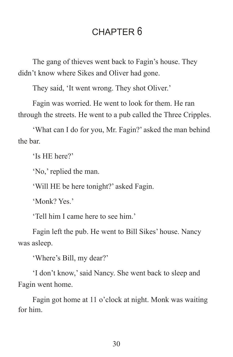# CHAPTER 6

The gang of thieves went back to Fagin's house. They didn't know where Sikes and Oliver had gone.

They said, 'It went wrong. They shot Oliver.'

Fagin was worried. He went to look for them. He ran through the streets. He went to a pub called the Three Cripples.

'What can I do for you, Mr. Fagin?' asked the man behind the bar.

'Is HE here?'

'No,' replied the man.

'Will HE be here tonight?' asked Fagin.

'Monk? Yes.'

'Tell him I came here to see him.'

Fagin left the pub. He went to Bill Sikes' house. Nancy was asleep.

'Where's Bill, my dear?'

'I don't know,' said Nancy. She went back to sleep and Fagin went home.

Fagin got home at 11 o'clock at night. Monk was waiting for him.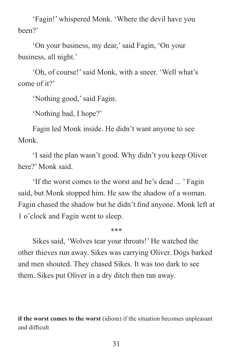'Fagin!' whispered Monk. 'Where the devil have you been?'

'On your business, my dear,' said Fagin, 'On your business, all night.'

'Oh, of course!' said Monk, with a sneer. 'Well what's come of it?'

'Nothing good,' said Fagin.

'Nothing bad, I hope?'

Fagin led Monk inside. He didn't want anyone to see Monk.

'I said the plan wasn't good. Why didn't you keep Oliver here?' Monk said.

'If the worst comes to the worst and he's dead ... ' Fagin said, but Monk stopped him. He saw the shadow of a woman. Fagin chased the shadow but he didn't find anyone. Monk left at 1 o'clock and Fagin went to sleep.

\*\*\*

Sikes said, 'Wolves tear your throats!' He watched the other thieves run away. Sikes was carrying Oliver. Dogs barked and men shouted. They chased Sikes. It was too dark to see them. Sikes put Oliver in a dry ditch then ran away.

**if the worst comes to the worst** (idiom) if the situation becomes unpleasant and difficult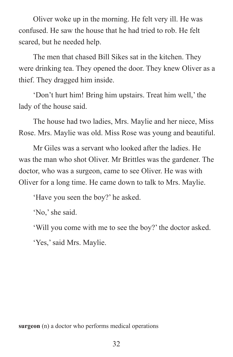Oliver woke up in the morning. He felt very ill. He was confused. He saw the house that he had tried to rob. He felt scared, but he needed help.

The men that chased Bill Sikes sat in the kitchen. They were drinking tea. They opened the door. They knew Oliver as a thief. They dragged him inside.

'Don't hurt him! Bring him upstairs. Treat him well,' the lady of the house said.

The house had two ladies, Mrs. Maylie and her niece, Miss Rose. Mrs. Maylie was old. Miss Rose was young and beautiful.

Mr Giles was a servant who looked after the ladies. He was the man who shot Oliver. Mr Brittles was the gardener. The doctor, who was a surgeon, came to see Oliver. He was with Oliver for a long time. He came down to talk to Mrs. Maylie.

'Have you seen the boy?' he asked.

'No,' she said.

'Will you come with me to see the boy?' the doctor asked.

'Yes,' said Mrs. Maylie.

**surgeon** (n) a doctor who performs medical operations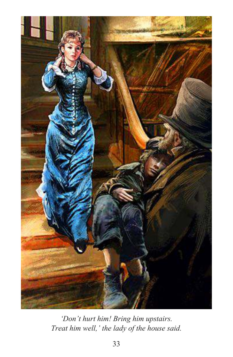

*'Don't hurt him! Bring him upstairs. Treat him well,' the lady of the house said.*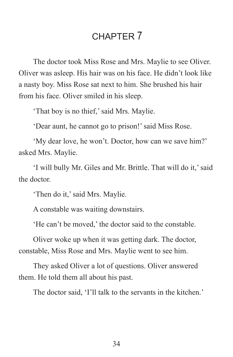# CHAPTER 7

The doctor took Miss Rose and Mrs. Maylie to see Oliver. Oliver was asleep. His hair was on his face. He didn't look like a nasty boy. Miss Rose sat next to him. She brushed his hair from his face. Oliver smiled in his sleep.

'That boy is no thief,' said Mrs. Maylie.

'Dear aunt, he cannot go to prison!' said Miss Rose.

'My dear love, he won't. Doctor, how can we save him?' asked Mrs. Maylie.

'I will bully Mr. Giles and Mr. Brittle. That will do it,' said the doctor.

'Then do it,' said Mrs. Maylie.

A constable was waiting downstairs.

'He can't be moved,' the doctor said to the constable.

Oliver woke up when it was getting dark. The doctor, constable, Miss Rose and Mrs. Maylie went to see him.

They asked Oliver a lot of questions. Oliver answered them. He told them all about his past.

The doctor said, 'I'll talk to the servants in the kitchen.'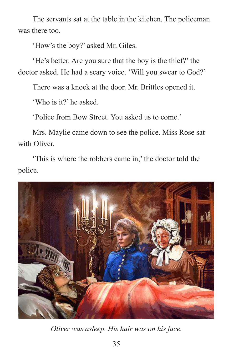The servants sat at the table in the kitchen. The policeman was there too.

'How's the boy?' asked Mr. Giles.

'He's better. Are you sure that the boy is the thief?' the doctor asked. He had a scary voice. 'Will you swear to God?'

There was a knock at the door. Mr. Brittles opened it.

'Who is it?' he asked.

'Police from Bow Street. You asked us to come.'

Mrs. Maylie came down to see the police. Miss Rose sat with Oliver

'This is where the robbers came in,' the doctor told the police.



*Oliver was asleep. His hair was on his face.*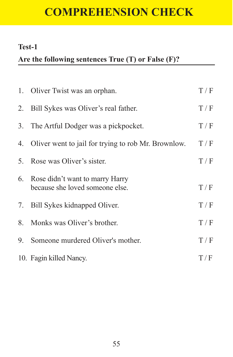# **COMPREHENSION CHECK**

#### **Test-1**

## **Are the following sentences True (T) or False (F)?**

|    | 1. Oliver Twist was an orphan.                                        | T/F |
|----|-----------------------------------------------------------------------|-----|
|    | 2. Bill Sykes was Oliver's real father.                               | T/F |
|    | 3. The Artful Dodger was a pickpocket.                                | T/F |
|    | 4. Oliver went to jail for trying to rob Mr. Brownlow.                | T/F |
|    | 5. Rose was Oliver's sister.                                          | T/F |
|    | 6. Rose didn't want to marry Harry<br>because she loved someone else. | T/F |
|    | 7. Bill Sykes kidnapped Oliver.                                       | T/F |
|    | 8. Monks was Oliver's brother.                                        | T/F |
| 9. | Someone murdered Oliver's mother.                                     | T/F |
|    | 10. Fagin killed Nancy.                                               | T/F |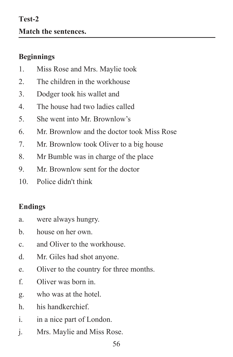#### **Beginnings**

- 1. Miss Rose and Mrs. Maylie took
- 2. The children in the workhouse
- 3. Dodger took his wallet and
- 4. The house had two ladies called
- 5. She went into Mr. Brownlow's
- 6. Mr. Brownlow and the doctor took Miss Rose
- 7. Mr. Brownlow took Oliver to a big house
- 8. Mr Bumble was in charge of the place
- 9. Mr. Brownlow sent for the doctor
- 10. Police didn't think

## **Endings**

- a. were always hungry.
- b. house on her own.
- c. and Oliver to the workhouse.
- d. Mr. Giles had shot anyone.
- e. Oliver to the country for three months.
- f. Oliver was born in.
- g. who was at the hotel.
- h. his handkerchief.
- i. in a nice part of London.
- j. Mrs. Maylie and Miss Rose.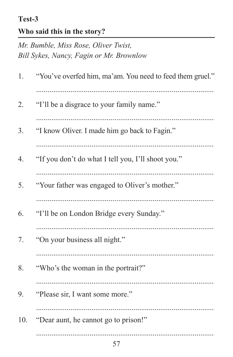#### Test-3

## Who said this in the story?

Mr. Bumble, Miss Rose, Oliver Twist, Bill Sykes, Nancy, Fagin or Mr. Brownlow

| 1.  | "You've overfed him, ma'am. You need to feed them gruel." |  |  |
|-----|-----------------------------------------------------------|--|--|
| 2.  | "I'll be a disgrace to your family name."                 |  |  |
| 3.  | "I know Oliver. I made him go back to Fagin."             |  |  |
| 4.  | "If you don't do what I tell you, I'll shoot you."        |  |  |
| 5.  | "Your father was engaged to Oliver's mother."             |  |  |
| 6.  | "I'll be on London Bridge every Sunday."                  |  |  |
| 7.  | "On your business all night."                             |  |  |
| 8.  | "Who's the woman in the portrait?"                        |  |  |
| 9.  | "Please sir, I want some more."                           |  |  |
| 10. | "Dear aunt, he cannot go to prison!"                      |  |  |
|     | 57                                                        |  |  |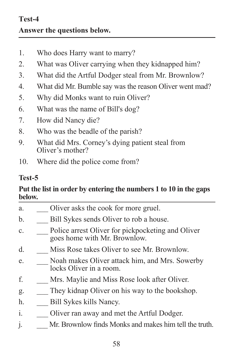- 1. Who does Harry want to marry?
- 2. What was Oliver carrying when they kidnapped him?
- 3. What did the Artful Dodger steal from Mr. Brownlow?
- 4. What did Mr. Bumble say was the reason Oliver went mad?
- 5. Why did Monks want to ruin Oliver?
- 6. What was the name of Bill's dog?
- 7. How did Nancy die?
- 8. Who was the beadle of the parish?
- 9. What did Mrs. Corney's dying patient steal from Oliver's mother?
- 10. Where did the police come from?

### **Test-5**

#### **Put the list in order by entering the numbers 1 to 10 in the gaps below.**

- a. **Oliver asks the cook for more gruel.**
- b. Bill Sykes sends Oliver to rob a house.
- c. Police arrest Oliver for pickpocketing and Oliver goes home with Mr. Brownlow.
- d. \_\_\_ Miss Rose takes Oliver to see Mr. Brownlow.
- e. Noah makes Oliver attack him, and Mrs. Sowerby locks Oliver in a room.
- f. \_\_\_ Mrs. Maylie and Miss Rose look after Oliver.
- g. They kidnap Oliver on his way to the bookshop.
- h. **Bill Sykes kills Nancy.**
- i. **Coliver ran away and met the Artful Dodger.**
- j. \_\_\_ Mr. Brownlow finds Monks and makes him tell the truth.